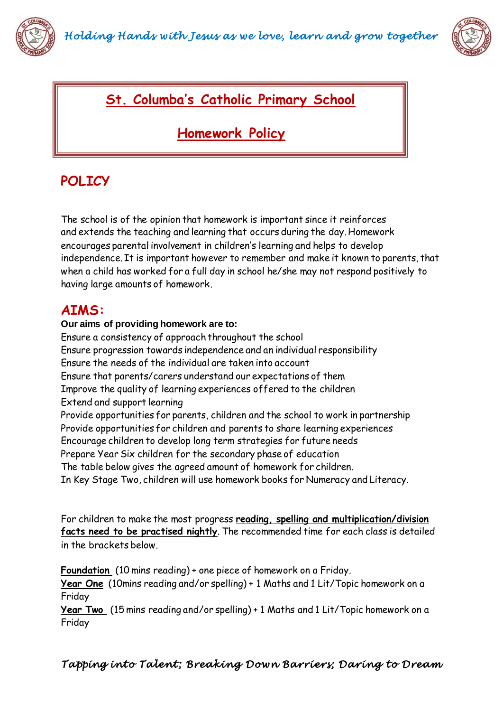



## **St. Columba's Catholic Primary School**

## **Homework Policy**

# **POLICY**

The school is of the opinion that homework is important since it reinforces and extends the teaching and learning that occurs during the day. Homework encourages parental involvement in children's learning and helps to develop independence. It is important however to remember and make it known to parents, that when a child has worked for a full day in school he/she may not respond positively to having large amounts of homework.

## **AIMS:**

### **Our aims of providing homework are to:**

Ensure a consistency of approach throughout the school Ensure progression towards independence and an individual responsibility Ensure the needs of the individual are taken into account Ensure that parents/carers understand our expectations of them Improve the quality of learning experiences offered to the children Extend and support learning Provide opportunities for parents, children and the school to work in partnership Provide opportunities for children and parents to share learning experiences Encourage children to develop long term strategies for future needs Prepare Year Six children for the secondary phase of education The table below gives the agreed amount of homework for children. In Key Stage Two, children will use homework books for Numeracy and Literacy.

For children to make the most progress **reading, spelling and multiplication/division facts need to be practised nightly**. The recommended time for each class is detailed in the brackets below.

**Foundation** (10 mins reading) + one piece of homework on a Friday. **Year One** (10mins reading and/or spelling) + 1 Maths and 1 Lit/Topic homework on a Friday

**Year Two** (15 mins reading and/or spelling) + 1 Maths and 1 Lit/Topic homework on a Friday

*Tapping into Talent ; Breaking Down Barriers; Daring to Dream*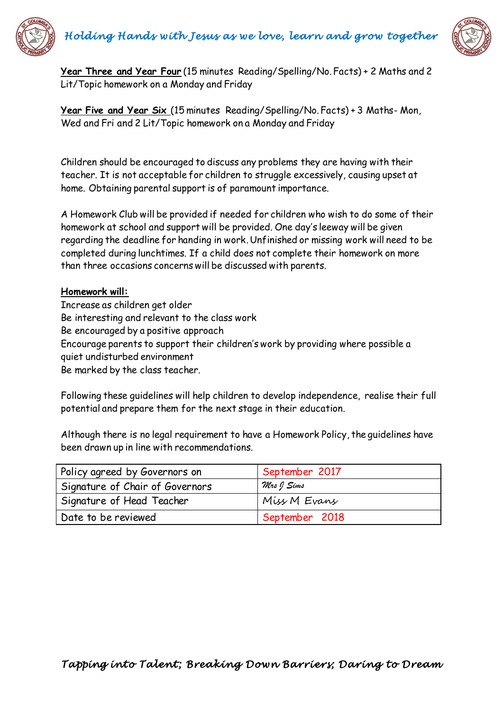



**Year Three and Year Four** (15 minutes Reading/Spelling/No. Facts) + 2 Maths and 2 Lit/Topic homework on a Monday and Friday

**Year Five and Year Six** (15 minutes Reading/Spelling/No. Facts) + 3 Maths- Mon, Wed and Fri and 2 Lit/Topic homework on a Monday and Friday

Children should be encouraged to discuss any problems they are having with their teacher. It is not acceptable for children to struggle excessively, causing upset at home. Obtaining parental support is of paramount importance.

A Homework Club will be provided if needed for children who wish to do some of their homework at school and support will be provided. One day's leeway will be given regarding the deadline for handing in work. Unfinished or missing work will need to be completed during lunchtimes. If a child does not complete their homework on more than three occasions concerns will be discussed with parents.

#### **Homework will:**

Increase as children get older Be interesting and relevant to the class work Be encouraged by a positive approach Encourage parents to support their children's work by providing where possible a quiet undisturbed environment Be marked by the class teacher.

Following these guidelines will help children to develop independence, realise their full potential and prepare them for the next stage in their education.

Although there is no legal requirement to have a Homework Policy, the guidelines have been drawn up in line with recommendations.

| Policy agreed by Governors on   | September 2017 |
|---------------------------------|----------------|
| Signature of Chair of Governors | Mrs J Sims     |
| Signature of Head Teacher       | Miss M Evans   |
| Date to be reviewed             | September 2018 |